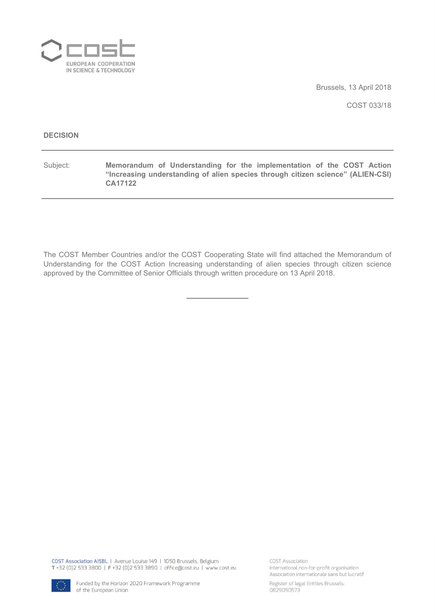

Brussels, 13 April 2018

COST 033/18

#### **DECISION**

Subject: **Memorandum of Understanding for the implementation of the COST Action "Increasing understanding of alien species through citizen science" (ALIEN-CSI) CA17122**

The COST Member Countries and/or the COST Cooperating State will find attached the Memorandum of Understanding for the COST Action Increasing understanding of alien species through citizen science approved by the Committee of Senior Officials through written procedure on 13 April 2018.

COST Association AISBL | Avenue Louise 149 | 1050 Brussels, Belgium T+32 (0)2 533 3800 | F+32 (0)2 533 3890 | office@cost.eu | www.cost.eu

COST Association International non-for-profit organisation Association internationale sans but lucratif



Register of legal Entities Brussels: 0829090573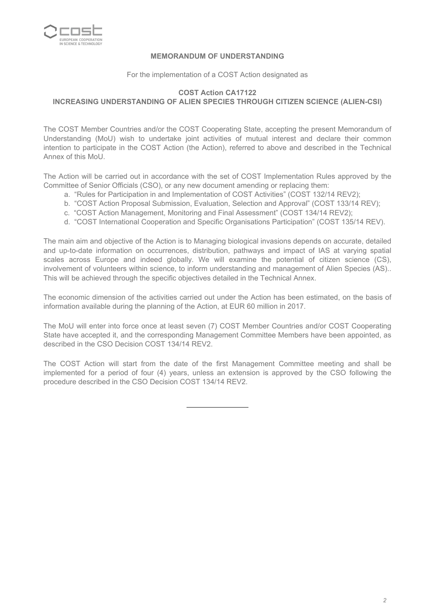

### **MEMORANDUM OF UNDERSTANDING**

For the implementation of a COST Action designated as

## **COST Action CA17122 INCREASING UNDERSTANDING OF ALIEN SPECIES THROUGH CITIZEN SCIENCE (ALIEN-CSI)**

The COST Member Countries and/or the COST Cooperating State, accepting the present Memorandum of Understanding (MoU) wish to undertake joint activities of mutual interest and declare their common intention to participate in the COST Action (the Action), referred to above and described in the Technical Annex of this MoU.

The Action will be carried out in accordance with the set of COST Implementation Rules approved by the Committee of Senior Officials (CSO), or any new document amending or replacing them:

- a. "Rules for Participation in and Implementation of COST Activities" (COST 132/14 REV2);
- b. "COST Action Proposal Submission, Evaluation, Selection and Approval" (COST 133/14 REV);
- c. "COST Action Management, Monitoring and Final Assessment" (COST 134/14 REV2);
- d. "COST International Cooperation and Specific Organisations Participation" (COST 135/14 REV).

The main aim and objective of the Action is to Managing biological invasions depends on accurate, detailed and up-to-date information on occurrences, distribution, pathways and impact of IAS at varying spatial scales across Europe and indeed globally. We will examine the potential of citizen science (CS), involvement of volunteers within science, to inform understanding and management of Alien Species (AS).. This will be achieved through the specific objectives detailed in the Technical Annex.

The economic dimension of the activities carried out under the Action has been estimated, on the basis of information available during the planning of the Action, at EUR 60 million in 2017.

The MoU will enter into force once at least seven (7) COST Member Countries and/or COST Cooperating State have accepted it, and the corresponding Management Committee Members have been appointed, as described in the CSO Decision COST 134/14 REV2.

The COST Action will start from the date of the first Management Committee meeting and shall be implemented for a period of four (4) years, unless an extension is approved by the CSO following the procedure described in the CSO Decision COST 134/14 REV2.

*2*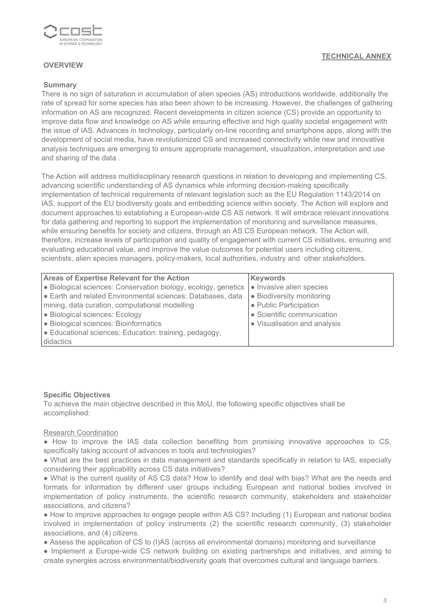

## **OVERVIEW**

### **Summary**

There is no sign of saturation in accumulation of alien species (AS) introductions worldwide, additionally the rate of spread for some species has also been shown to be increasing. However, the challenges of gathering information on AS are recognized. Recent developments in citizen science (CS) provide an opportunity to improve data flow and knowledge on AS while ensuring effective and high quality societal engagement with the issue of IAS. Advances in technology, particularly on-line recording and smartphone apps, along with the development of social media, have revolutionized CS and increased connectivity while new and innovative analysis techniques are emerging to ensure appropriate management, visualization, interpretation and use and sharing of the data .

The Action will address multidisciplinary research questions in relation to developing and implementing CS, advancing scientific understanding of AS dynamics while informing decision-making specifically implementation of technical requirements of relevant legislation such as the EU Regulation 1143/2014 on IAS, support of the EU biodiversity goals and embedding science within society. The Action will explore and document approaches to establishing a European-wide CS AS network. It will embrace relevant innovations for data gathering and reporting to support the implementation of monitoring and surveillance measures, while ensuring benefits for society and citizens, through an AS CS European network. The Action will, therefore, increase levels of participation and quality of engagement with current CS initiatives, ensuring and evaluating educational value, and improve the value outcomes for potential users including citizens, scientists, alien species managers, policy-makers, local authorities, industry and other stakeholders.

| <b>Areas of Expertise Relevant for the Action</b>              | Keywords                       |
|----------------------------------------------------------------|--------------------------------|
| • Biological sciences: Conservation biology, ecology, genetics | • Invasive alien species       |
| Earth and related Environmental sciences: Databases, data      | <b>Biodiversity monitoring</b> |
| mining, data curation, computational modelling                 | • Public Participation         |
| • Biological sciences: Ecology                                 | • Scientific communication     |
| • Biological sciences: Bioinformatics                          | • Visualisation and analysis   |
| <b>Educational sciences: Education: training, pedagogy,</b>    |                                |
| didactics                                                      |                                |

#### **Specific Objectives**

To achieve the main objective described in this MoU, the following specific objectives shall be accomplished:

### Research Coordination

● How to improve the IAS data collection benefiting from promising innovative approaches to CS, specifically taking account of advances in tools and technologies?

● What are the best practices in data management and standards specifically in relation to IAS, especially considering their applicability across CS data initiatives?

● What is the current quality of AS CS data? How to identify and deal with bias? What are the needs and formats for information by different user groups including European and national bodies involved in implementation of policy instruments, the scientific research community, stakeholders and stakeholder associations, and citizens?

● How to improve approaches to engage people within AS CS? Including (1) European and national bodies involved in implementation of policy instruments (2) the scientific research community, (3) stakeholder associations, and (4) citizens.

● Assess the application of CS to (I)AS (across all environmental domains) monitoring and surveillance

● Implement a Europe-wide CS network building on existing partnerships and initiatives, and aiming to create synergies across environmental/biodiversity goals that overcomes cultural and language barriers.

## **TECHNICAL ANNEX**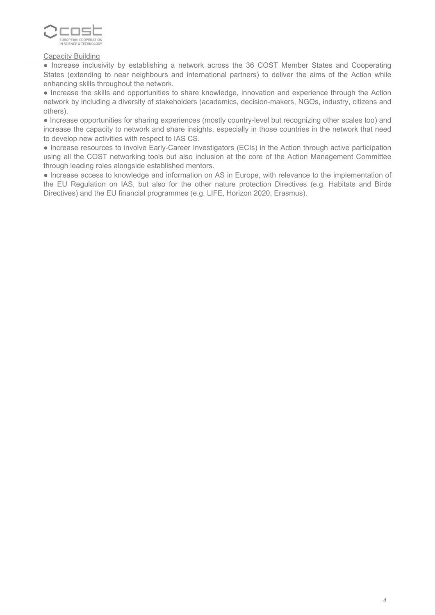

### **Capacity Building**

● Increase inclusivity by establishing a network across the 36 COST Member States and Cooperating States (extending to near neighbours and international partners) to deliver the aims of the Action while enhancing skills throughout the network.

● Increase the skills and opportunities to share knowledge, innovation and experience through the Action network by including a diversity of stakeholders (academics, decision-makers, NGOs, industry, citizens and others).

● Increase opportunities for sharing experiences (mostly country-level but recognizing other scales too) and increase the capacity to network and share insights, especially in those countries in the network that need to develop new activities with respect to IAS CS.

● Increase resources to involve Early-Career Investigators (ECIs) in the Action through active participation using all the COST networking tools but also inclusion at the core of the Action Management Committee through leading roles alongside established mentors.

● Increase access to knowledge and information on AS in Europe, with relevance to the implementation of the EU Regulation on IAS, but also for the other nature protection Directives (e.g. Habitats and Birds Directives) and the EU financial programmes (e.g. LIFE, Horizon 2020, Erasmus).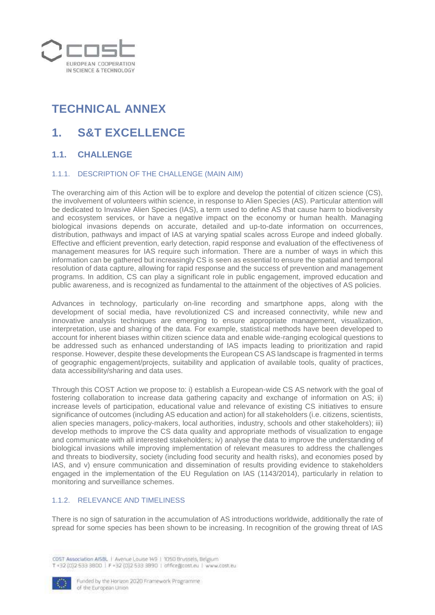

# **TECHNICAL ANNEX**

# **1. S&T EXCELLENCE**

# **1.1. CHALLENGE**

### 1.1.1. DESCRIPTION OF THE CHALLENGE (MAIN AIM)

The overarching aim of this Action will be to explore and develop the potential of citizen science (CS), the involvement of volunteers within science, in response to Alien Species (AS). Particular attention will be dedicated to Invasive Alien Species (IAS), a term used to define AS that cause harm to biodiversity and ecosystem services, or have a negative impact on the economy or human health. Managing biological invasions depends on accurate, detailed and up-to-date information on occurrences, distribution, pathways and impact of IAS at varying spatial scales across Europe and indeed globally. Effective and efficient prevention, early detection, rapid response and evaluation of the effectiveness of management measures for IAS require such information. There are a number of ways in which this information can be gathered but increasingly CS is seen as essential to ensure the spatial and temporal resolution of data capture, allowing for rapid response and the success of prevention and management programs. In addition, CS can play a significant role in public engagement, improved education and public awareness, and is recognized as fundamental to the attainment of the objectives of AS policies.

Advances in technology, particularly on-line recording and smartphone apps, along with the development of social media, have revolutionized CS and increased connectivity, while new and innovative analysis techniques are emerging to ensure appropriate management, visualization, interpretation, use and sharing of the data. For example, statistical methods have been developed to account for inherent biases within citizen science data and enable wide-ranging ecological questions to be addressed such as enhanced understanding of IAS impacts leading to prioritization and rapid response. However, despite these developments the European CS AS landscape is fragmented in terms of geographic engagement/projects, suitability and application of available tools, quality of practices, data accessibility/sharing and data uses.

Through this COST Action we propose to: i) establish a European-wide CS AS network with the goal of fostering collaboration to increase data gathering capacity and exchange of information on AS; ii) increase levels of participation, educational value and relevance of existing CS initiatives to ensure significance of outcomes (including AS education and action) for all stakeholders (i.e. citizens, scientists, alien species managers, policy-makers, local authorities, industry, schools and other stakeholders); iii) develop methods to improve the CS data quality and appropriate methods of visualization to engage and communicate with all interested stakeholders; iv) analyse the data to improve the understanding of biological invasions while improving implementation of relevant measures to address the challenges and threats to biodiversity, society (including food security and health risks), and economies posed by IAS, and v) ensure communication and dissemination of results providing evidence to stakeholders engaged in the implementation of the EU Regulation on IAS (1143/2014), particularly in relation to monitoring and surveillance schemes.

## 1.1.2. RELEVANCE AND TIMELINESS

There is no sign of saturation in the accumulation of AS introductions worldwide, additionally the rate of spread for some species has been shown to be increasing. In recognition of the growing threat of IAS

CDST Association AISBL | Avenue Louise 149 | 1050 Brussels, Belgium T+32 (0) 2 533 3800 | F +32 (0) 2 533 3890 | office@cost.eu | www.cost.eu

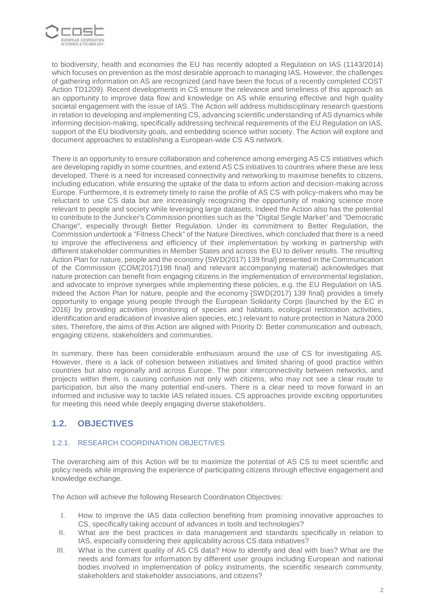

to biodiversity, health and economies the EU has recently adopted a Regulation on IAS (1143/2014) which focuses on prevention as the most desirable approach to managing IAS. However, the challenges of gathering information on AS are recognized (and have been the focus of a recently completed COST Action TD1209). Recent developments in CS ensure the relevance and timeliness of this approach as an opportunity to improve data flow and knowledge on AS while ensuring effective and high quality societal engagement with the issue of IAS. The Action will address multidisciplinary research questions in relation to developing and implementing CS, advancing scientific understanding of AS dynamics while informing decision-making, specifically addressing technical requirements of the EU Regulation on IAS, support of the EU biodiversity goals, and embedding science within society. The Action will explore and document approaches to establishing a European-wide CS AS network.

There is an opportunity to ensure collaboration and coherence among emerging AS CS initiatives which are developing rapidly in some countries, and extend AS CS initiatives to countries where these are less developed. There is a need for increased connectivity and networking to maximise benefits to citizens, including education, while ensuring the uptake of the data to inform action and decision-making across Europe. Furthermore, it is extremely timely to raise the profile of AS CS with policy-makers who may be reluctant to use CS data but are increasingly recognizing the opportunity of making science more relevant to people and society while leveraging large datasets. Indeed the Action also has the potential to contribute to the Juncker's Commission priorities such as the "Digital Single Market" and "Democratic Change", especially through Better Regulation. Under its commitment to Better Regulation, the Commission undertook a "Fitness Check" of the Nature Directives, which concluded that there is a need to improve the effectiveness and efficiency of their implementation by working in partnership with different stakeholder communities in Member States and across the EU to deliver results. The resulting Action Plan for nature, people and the economy {SWD(2017) 139 final} presented in the Communication of the Commission {COM(2017)198 final} and relevant accompanying material) acknowledges that nature protection can benefit from engaging citizens in the implementation of environmental legislation, and advocate to improve synergies while implementing these policies, e.g. the EU Regulation on IAS. Indeed the Action Plan for nature, people and the economy {SWD(2017) 139 final} provides a timely opportunity to engage young people through the European Solidarity Corps (launched by the EC in 2016) by providing activities (monitoring of species and habitats, ecological restoration activities, identification and eradication of invasive alien species, etc.) relevant to nature protection in Natura 2000 sites. Therefore, the aims of this Action are aligned with Priority D: Better communication and outreach, engaging citizens, stakeholders and communities.

In summary, there has been considerable enthusiasm around the use of CS for investigating AS. However, there is a lack of cohesion between initiatives and limited sharing of good practice within countries but also regionally and across Europe. The poor interconnectivity between networks, and projects within them, is causing confusion not only with citizens, who may not see a clear route to participation, but also the many potential end-users. There is a clear need to move forward in an informed and inclusive way to tackle IAS related issues. CS approaches provide exciting opportunities for meeting this need while deeply engaging diverse stakeholders.

# **1.2. OBJECTIVES**

## 1.2.1. RESEARCH COORDINATION OBJECTIVES

The overarching aim of this Action will be to maximize the potential of AS CS to meet scientific and policy needs while improving the experience of participating citizens through effective engagement and knowledge exchange.

The Action will achieve the following Research Coordination Objectives:

- I. How to improve the IAS data collection benefiting from promising innovative approaches to CS, specifically taking account of advances in tools and technologies?
- II. What are the best practices in data management and standards specifically in relation to IAS, especially considering their applicability across CS data initiatives?
- III. What is the current quality of AS CS data? How to identify and deal with bias? What are the needs and formats for information by different user groups including European and national bodies involved in implementation of policy instruments, the scientific research community, stakeholders and stakeholder associations, and citizens?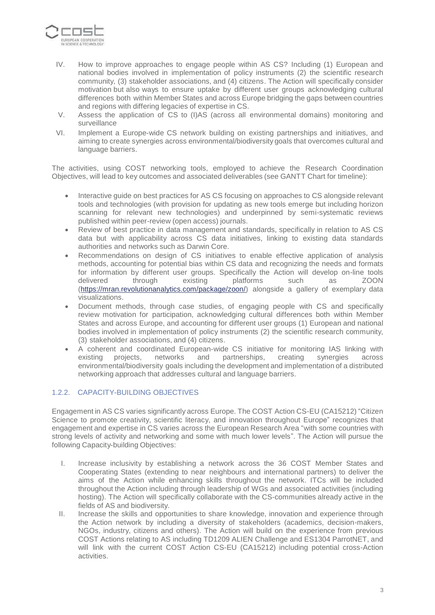

- IV. How to improve approaches to engage people within AS CS? Including (1) European and national bodies involved in implementation of policy instruments (2) the scientific research community, (3) stakeholder associations, and (4) citizens. The Action will specifically consider motivation but also ways to ensure uptake by different user groups acknowledging cultural differences both within Member States and across Europe bridging the gaps between countries and regions with differing legacies of expertise in CS.
- V. Assess the application of CS to (I)AS (across all environmental domains) monitoring and surveillance
- VI. Implement a Europe-wide CS network building on existing partnerships and initiatives, and aiming to create synergies across environmental/biodiversity goals that overcomes cultural and language barriers.

The activities, using COST networking tools, employed to achieve the Research Coordination Objectives, will lead to key outcomes and associated deliverables (see GANTT Chart for timeline):

- Interactive guide on best practices for AS CS focusing on approaches to CS alongside relevant tools and technologies (with provision for updating as new tools emerge but including horizon scanning for relevant new technologies) and underpinned by semi-systematic reviews published within peer-review (open access) journals.
- Review of best practice in data management and standards, specifically in relation to AS CS data but with applicability across CS data initiatives, linking to existing data standards authorities and networks such as Darwin Core.
- Recommendations on design of CS initiatives to enable effective application of analysis methods, accounting for potential bias within CS data and recognizing the needs and formats for information by different user groups. Specifically the Action will develop on-line tools delivered through existing platforms such as ZOON [\(https://mran.revolutionanalytics.com/package/zoon/\)](https://mran.revolutionanalytics.com/package/zoon/) alongside a gallery of exemplary data visualizations.
- Document methods, through case studies, of engaging people with CS and specifically review motivation for participation, acknowledging cultural differences both within Member States and across Europe, and accounting for different user groups (1) European and national bodies involved in implementation of policy instruments (2) the scientific research community, (3) stakeholder associations, and (4) citizens.
- A coherent and coordinated European-wide CS initiative for monitoring IAS linking with existing projects, networks and partnerships, creating synergies across environmental/biodiversity goals including the development and implementation of a distributed networking approach that addresses cultural and language barriers.

## 1.2.2. CAPACITY-BUILDING OBJECTIVES

Engagement in AS CS varies significantly across Europe. The COST Action CS-EU (CA15212) "Citizen Science to promote creativity, scientific literacy, and innovation throughout Europe" recognizes that engagement and expertise in CS varies across the European Research Area "with some countries with strong levels of activity and networking and some with much lower levels". The Action will pursue the following Capacity-building Objectives:

- I. Increase inclusivity by establishing a network across the 36 COST Member States and Cooperating States (extending to near neighbours and international partners) to deliver the aims of the Action while enhancing skills throughout the network. ITCs will be included throughout the Action including through leadership of WGs and associated activities (including hosting). The Action will specifically collaborate with the CS-communities already active in the fields of AS and biodiversity.
- II. Increase the skills and opportunities to share knowledge, innovation and experience through the Action network by including a diversity of stakeholders (academics, decision-makers, NGOs, industry, citizens and others). The Action will build on the experience from previous COST Actions relating to AS including TD1209 ALIEN Challenge and ES1304 ParrotNET, and will link with the current COST Action CS-EU (CA15212) including potential cross-Action activities.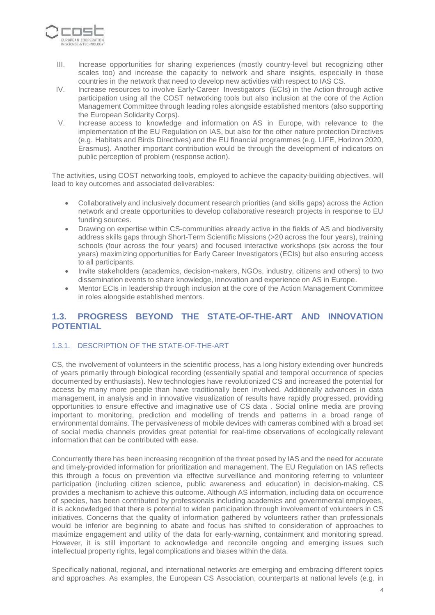

- III. Increase opportunities for sharing experiences (mostly country-level but recognizing other scales too) and increase the capacity to network and share insights, especially in those countries in the network that need to develop new activities with respect to IAS CS.
- IV. Increase resources to involve Early-Career Investigators (ECIs) in the Action through active participation using all the COST networking tools but also inclusion at the core of the Action Management Committee through leading roles alongside established mentors (also supporting the European Solidarity Corps).
- V. Increase access to knowledge and information on AS in Europe, with relevance to the implementation of the EU Regulation on IAS, but also for the other nature protection Directives (e.g. Habitats and Birds Directives) and the EU financial programmes (e.g. LIFE, Horizon 2020, Erasmus). Another important contribution would be through the development of indicators on public perception of problem (response action).

The activities, using COST networking tools, employed to achieve the capacity-building objectives, will lead to key outcomes and associated deliverables:

- Collaboratively and inclusively document research priorities (and skills gaps) across the Action network and create opportunities to develop collaborative research projects in response to EU funding sources.
- Drawing on expertise within CS-communities already active in the fields of AS and biodiversity address skills gaps through Short-Term Scientific Missions (>20 across the four years), training schools (four across the four years) and focused interactive workshops (six across the four years) maximizing opportunities for Early Career Investigators (ECIs) but also ensuring access to all participants.
- Invite stakeholders (academics, decision-makers, NGOs, industry, citizens and others) to two dissemination events to share knowledge, innovation and experience on AS in Europe.
- Mentor ECIs in leadership through inclusion at the core of the Action Management Committee in roles alongside established mentors.

# **1.3. PROGRESS BEYOND THE STATE-OF-THE-ART AND INNOVATION POTENTIAL**

### 1.3.1. DESCRIPTION OF THE STATE-OF-THE-ART

CS, the involvement of volunteers in the scientific process, has a long history extending over hundreds of years primarily through biological recording (essentially spatial and temporal occurrence of species documented by enthusiasts). New technologies have revolutionized CS and increased the potential for access by many more people than have traditionally been involved. Additionally advances in data management, in analysis and in innovative visualization of results have rapidly progressed, providing opportunities to ensure effective and imaginative use of CS data . Social online media are proving important to monitoring, prediction and modelling of trends and patterns in a broad range of environmental domains. The pervasiveness of mobile devices with cameras combined with a broad set of social media channels provides great potential for real-time observations of ecologically relevant information that can be contributed with ease.

Concurrently there has been increasing recognition of the threat posed by IAS and the need for accurate and timely-provided information for prioritization and management. The EU Regulation on IAS reflects this through a focus on prevention via effective surveillance and monitoring referring to volunteer participation (including citizen science, public awareness and education) in decision-making. CS provides a mechanism to achieve this outcome. Although AS information, including data on occurrence of species, has been contributed by professionals including academics and governmental employees, it is acknowledged that there is potential to widen participation through involvement of volunteers in CS initiatives. Concerns that the quality of information gathered by volunteers rather than professionals would be inferior are beginning to abate and focus has shifted to consideration of approaches to maximize engagement and utility of the data for early-warning, containment and monitoring spread. However, it is still important to acknowledge and reconcile ongoing and emerging issues such intellectual property rights, legal complications and biases within the data.

Specifically national, regional, and international networks are emerging and embracing different topics and approaches. As examples, the European CS Association, counterparts at national levels (e.g. in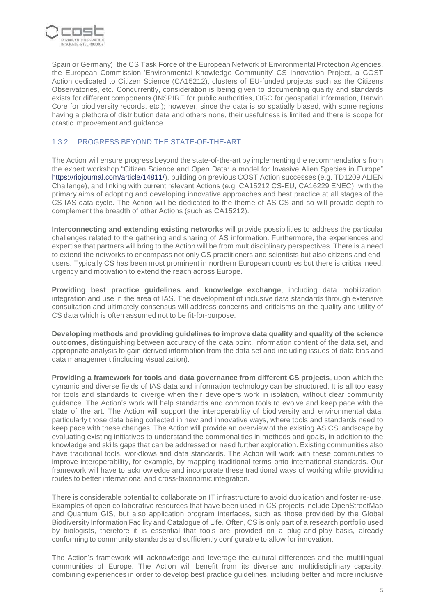

Spain or Germany), the CS Task Force of the European Network of Environmental Protection Agencies, the European Commission 'Environmental Knowledge Community' CS Innovation Project, a COST Action dedicated to Citizen Science (CA15212), clusters of EU-funded projects such as the Citizens Observatories, etc. Concurrently, consideration is being given to documenting quality and standards exists for different components (INSPIRE for public authorities, OGC for geospatial information, Darwin Core for biodiversity records, etc.); however, since the data is so spatially biased, with some regions having a plethora of distribution data and others none, their usefulness is limited and there is scope for drastic improvement and guidance.

## 1.3.2. PROGRESS BEYOND THE STATE-OF-THE-ART

The Action will ensure progress beyond the state-of-the-art by implementing the recommendations from the expert workshop "Citizen Science and Open Data: a model for Invasive Alien Species in Europe" [https://riojournal.com/article/14811/\)](https://riojournal.com/article/14811/), building on previous COST Action successes (e.g. TD1209 ALIEN Challenge), and linking with current relevant Actions (e.g. CA15212 CS-EU, CA16229 ENEC), with the primary aims of adopting and developing innovative approaches and best practice at all stages of the CS IAS data cycle. The Action will be dedicated to the theme of AS CS and so will provide depth to complement the breadth of other Actions (such as CA15212).

**Interconnecting and extending existing networks** will provide possibilities to address the particular challenges related to the gathering and sharing of AS information. Furthermore, the experiences and expertise that partners will bring to the Action will be from multidisciplinary perspectives. There is a need to extend the networks to encompass not only CS practitioners and scientists but also citizens and endusers. Typically CS has been most prominent in northern European countries but there is critical need, urgency and motivation to extend the reach across Europe.

**Providing best practice guidelines and knowledge exchange**, including data mobilization, integration and use in the area of IAS. The development of inclusive data standards through extensive consultation and ultimately consensus will address concerns and criticisms on the quality and utility of CS data which is often assumed not to be fit-for-purpose.

**Developing methods and providing guidelines to improve data quality and quality of the science outcomes**, distinguishing between accuracy of the data point, information content of the data set, and appropriate analysis to gain derived information from the data set and including issues of data bias and data management (including visualization).

**Providing a framework for tools and data governance from different CS projects**, upon which the dynamic and diverse fields of IAS data and information technology can be structured. It is all too easy for tools and standards to diverge when their developers work in isolation, without clear community guidance. The Action's work will help standards and common tools to evolve and keep pace with the state of the art. The Action will support the interoperability of biodiversity and environmental data, particularly those data being collected in new and innovative ways, where tools and standards need to keep pace with these changes. The Action will provide an overview of the existing AS CS landscape by evaluating existing initiatives to understand the commonalities in methods and goals, in addition to the knowledge and skills gaps that can be addressed or need further exploration. Existing communities also have traditional tools, workflows and data standards. The Action will work with these communities to improve interoperability, for example, by mapping traditional terms onto international standards. Our framework will have to acknowledge and incorporate these traditional ways of working while providing routes to better international and cross-taxonomic integration.

There is considerable potential to collaborate on IT infrastructure to avoid duplication and foster re-use. Examples of open collaborative resources that have been used in CS projects include OpenStreetMap and Quantum GIS, but also application program interfaces, such as those provided by the Global Biodiversity Information Facility and Catalogue of Life. Often, CS is only part of a research portfolio used by biologists, therefore it is essential that tools are provided on a plug-and-play basis, already conforming to community standards and sufficiently configurable to allow for innovation.

The Action's framework will acknowledge and leverage the cultural differences and the multilingual communities of Europe. The Action will benefit from its diverse and multidisciplinary capacity, combining experiences in order to develop best practice guidelines, including better and more inclusive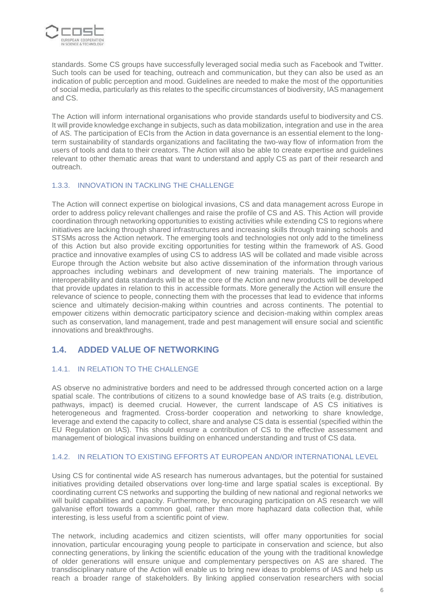

standards. Some CS groups have successfully leveraged social media such as Facebook and Twitter. Such tools can be used for teaching, outreach and communication, but they can also be used as an indication of public perception and mood. Guidelines are needed to make the most of the opportunities of social media, particularly as this relates to the specific circumstances of biodiversity, IAS management and CS.

The Action will inform international organisations who provide standards useful to biodiversity and CS. It will provide knowledge exchange in subjects, such as data mobilization, integration and use in the area of AS. The participation of ECIs from the Action in data governance is an essential element to the longterm sustainability of standards organizations and facilitating the two-way flow of information from the users of tools and data to their creators. The Action will also be able to create expertise and guidelines relevant to other thematic areas that want to understand and apply CS as part of their research and outreach.

### 1.3.3. INNOVATION IN TACKLING THE CHALLENGE

The Action will connect expertise on biological invasions, CS and data management across Europe in order to address policy relevant challenges and raise the profile of CS and AS. This Action will provide coordination through networking opportunities to existing activities while extending CS to regions where initiatives are lacking through shared infrastructures and increasing skills through training schools and STSMs across the Action network. The emerging tools and technologies not only add to the timeliness of this Action but also provide exciting opportunities for testing within the framework of AS. Good practice and innovative examples of using CS to address IAS will be collated and made visible across Europe through the Action website but also active dissemination of the information through various approaches including webinars and development of new training materials. The importance of interoperability and data standards will be at the core of the Action and new products will be developed that provide updates in relation to this in accessible formats. More generally the Action will ensure the relevance of science to people, connecting them with the processes that lead to evidence that informs science and ultimately decision-making within countries and across continents. The potential to empower citizens within democratic participatory science and decision-making within complex areas such as conservation, land management, trade and pest management will ensure social and scientific innovations and breakthroughs.

# **1.4. ADDED VALUE OF NETWORKING**

### 1.4.1. IN RELATION TO THE CHALLENGE

AS observe no administrative borders and need to be addressed through concerted action on a large spatial scale. The contributions of citizens to a sound knowledge base of AS traits (e.g. distribution, pathways, impact) is deemed crucial. However, the current landscape of AS CS initiatives is heterogeneous and fragmented. Cross-border cooperation and networking to share knowledge, leverage and extend the capacity to collect, share and analyse CS data is essential (specified within the EU Regulation on IAS). This should ensure a contribution of CS to the effective assessment and management of biological invasions building on enhanced understanding and trust of CS data.

### 1.4.2. IN RELATION TO EXISTING EFFORTS AT EUROPEAN AND/OR INTERNATIONAL LEVEL

Using CS for continental wide AS research has numerous advantages, but the potential for sustained initiatives providing detailed observations over long-time and large spatial scales is exceptional. By coordinating current CS networks and supporting the building of new national and regional networks we will build capabilities and capacity. Furthermore, by encouraging participation on AS research we will galvanise effort towards a common goal, rather than more haphazard data collection that, while interesting, is less useful from a scientific point of view.

The network, including academics and citizen scientists, will offer many opportunities for social innovation, particular encouraging young people to participate in conservation and science, but also connecting generations, by linking the scientific education of the young with the traditional knowledge of older generations will ensure unique and complementary perspectives on AS are shared. The transdisciplinary nature of the Action will enable us to bring new ideas to problems of IAS and help us reach a broader range of stakeholders. By linking applied conservation researchers with social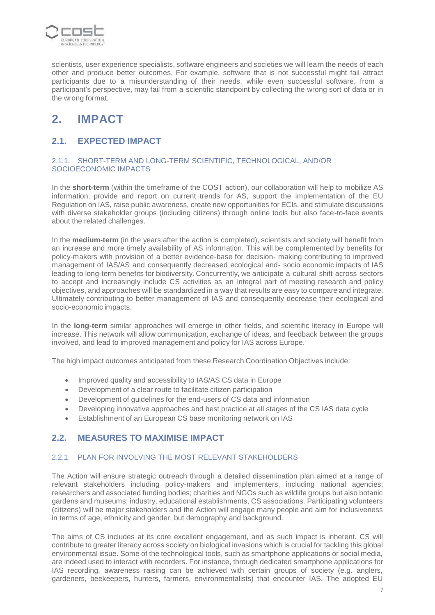

scientists, user experience specialists, software engineers and societies we will learn the needs of each other and produce better outcomes. For example, software that is not successful might fail attract participants due to a misunderstanding of their needs, while even successful software, from a participant's perspective, may fail from a scientific standpoint by collecting the wrong sort of data or in the wrong format.

# **2. IMPACT**

# **2.1. EXPECTED IMPACT**

### 2.1.1. SHORT-TERM AND LONG-TERM SCIENTIFIC, TECHNOLOGICAL, AND/OR SOCIOECONOMIC IMPACTS

In the **short-term** (within the timeframe of the COST action), our collaboration will help to mobilize AS information, provide and report on current trends for AS, support the implementation of the EU Regulation on IAS, raise public awareness, create new opportunities for ECIs, and stimulate discussions with diverse stakeholder groups (including citizens) through online tools but also face-to-face events about the related challenges.

In the **medium-term** (in the years after the action is completed), scientists and society will benefit from an increase and more timely availability of AS information. This will be complemented by benefits for policy-makers with provision of a better evidence-base for decision- making contributing to improved management of IAS/AS and consequently decreased ecological and- socio economic impacts of IAS leading to long-term benefits for biodiversity. Concurrently, we anticipate a cultural shift across sectors to accept and increasingly include CS activities as an integral part of meeting research and policy objectives, and approaches will be standardized in a way that results are easy to compare and integrate. Ultimately contributing to better management of IAS and consequently decrease their ecological and socio-economic impacts.

In the **long-term** similar approaches will emerge in other fields, and scientific literacy in Europe will increase. This network will allow communication, exchange of ideas, and feedback between the groups involved, and lead to improved management and policy for IAS across Europe.

The high impact outcomes anticipated from these Research Coordination Objectives include:

- Improved quality and accessibility to IAS/AS CS data in Europe
- Development of a clear route to facilitate citizen participation
- Development of guidelines for the end-users of CS data and information
- Developing innovative approaches and best practice at all stages of the CS IAS data cycle
- Establishment of an European CS base monitoring network on IAS

# **2.2. MEASURES TO MAXIMISE IMPACT**

### 2.2.1. PLAN FOR INVOLVING THE MOST RELEVANT STAKEHOLDERS

The Action will ensure strategic outreach through a detailed dissemination plan aimed at a range of relevant stakeholders including policy-makers and implementers, including national agencies; researchers and associated funding bodies; charities and NGOs such as wildlife groups but also botanic gardens and museums; industry, educational establishments, CS associations. Participating volunteers (citizens) will be major stakeholders and the Action will engage many people and aim for inclusiveness in terms of age, ethnicity and gender, but demography and background.

The aims of CS includes at its core excellent engagement, and as such impact is inherent. CS will contribute to greater literacy across society on biological invasions which is crucial for tackling this global environmental issue. Some of the technological tools, such as smartphone applications or social media, are indeed used to interact with recorders. For instance, through dedicated smartphone applications for IAS recording, awareness raising can be achieved with certain groups of society (e.g. anglers, gardeners, beekeepers, hunters, farmers, environmentalists) that encounter IAS. The adopted EU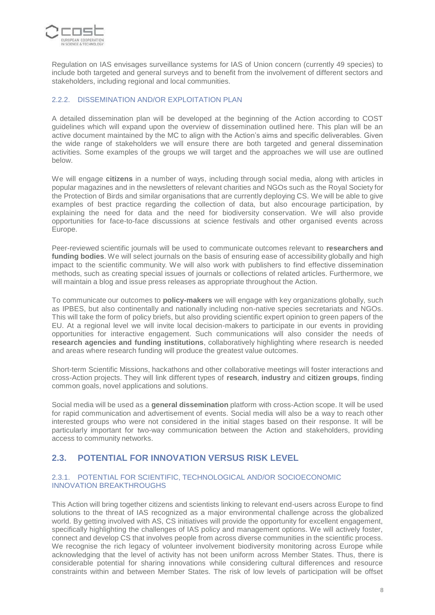

Regulation on IAS envisages surveillance systems for IAS of Union concern (currently 49 species) to include both targeted and general surveys and to benefit from the involvement of different sectors and stakeholders, including regional and local communities.

### 2.2.2. DISSEMINATION AND/OR EXPLOITATION PLAN

A detailed dissemination plan will be developed at the beginning of the Action according to COST guidelines which will expand upon the overview of dissemination outlined here. This plan will be an active document maintained by the MC to align with the Action's aims and specific deliverables. Given the wide range of stakeholders we will ensure there are both targeted and general dissemination activities. Some examples of the groups we will target and the approaches we will use are outlined below.

We will engage **citizens** in a number of ways, including through social media, along with articles in popular magazines and in the newsletters of relevant charities and NGOs such as the Royal Society for the Protection of Birds and similar organisations that are currently deploying CS. We will be able to give examples of best practice regarding the collection of data, but also encourage participation, by explaining the need for data and the need for biodiversity conservation. We will also provide opportunities for face-to-face discussions at science festivals and other organised events across Europe.

Peer-reviewed scientific journals will be used to communicate outcomes relevant to **researchers and funding bodies**. We will select journals on the basis of ensuring ease of accessibility globally and high impact to the scientific community. We will also work with publishers to find effective dissemination methods, such as creating special issues of journals or collections of related articles. Furthermore, we will maintain a blog and issue press releases as appropriate throughout the Action.

To communicate our outcomes to **policy-makers** we will engage with key organizations globally, such as IPBES, but also continentally and nationally including non-native species secretariats and NGOs. This will take the form of policy briefs, but also providing scientific expert opinion to green papers of the EU. At a regional level we will invite local decision-makers to participate in our events in providing opportunities for interactive engagement. Such communications will also consider the needs of **research agencies and funding institutions**, collaboratively highlighting where research is needed and areas where research funding will produce the greatest value outcomes.

Short-term Scientific Missions, hackathons and other collaborative meetings will foster interactions and cross-Action projects. They will link different types of **research**, **industry** and **citizen groups**, finding common goals, novel applications and solutions.

Social media will be used as a **general dissemination** platform with cross-Action scope. It will be used for rapid communication and advertisement of events. Social media will also be a way to reach other interested groups who were not considered in the initial stages based on their response. It will be particularly important for two-way communication between the Action and stakeholders, providing access to community networks.

# **2.3. POTENTIAL FOR INNOVATION VERSUS RISK LEVEL**

### 2.3.1. POTENTIAL FOR SCIENTIFIC, TECHNOLOGICAL AND/OR SOCIOECONOMIC INNOVATION BREAKTHROUGHS

This Action will bring together citizens and scientists linking to relevant end-users across Europe to find solutions to the threat of IAS recognized as a major environmental challenge across the globalized world. By getting involved with AS, CS initiatives will provide the opportunity for excellent engagement, specifically highlighting the challenges of IAS policy and management options. We will actively foster, connect and develop CS that involves people from across diverse communities in the scientific process. We recognise the rich legacy of volunteer involvement biodiversity monitoring across Europe while acknowledging that the level of activity has not been uniform across Member States. Thus, there is considerable potential for sharing innovations while considering cultural differences and resource constraints within and between Member States. The risk of low levels of participation will be offset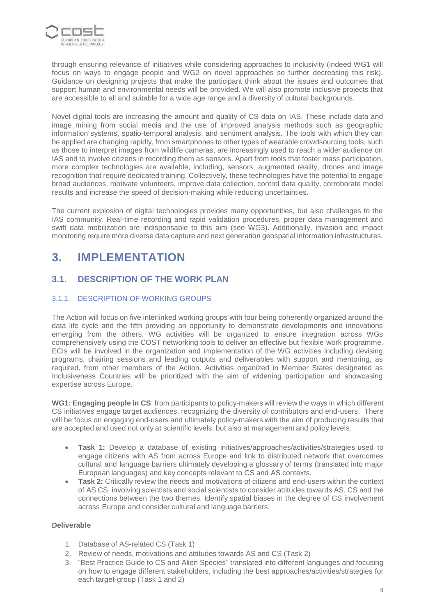

through ensuring relevance of initiatives while considering approaches to inclusivity (indeed WG1 will focus on ways to engage people and WG2 on novel approaches so further decreasing this risk). Guidance on designing projects that make the participant think about the issues and outcomes that support human and environmental needs will be provided. We will also promote inclusive projects that are accessible to all and suitable for a wide age range and a diversity of cultural backgrounds.

Novel digital tools are increasing the amount and quality of CS data on IAS. These include data and image mining from social media and the use of improved analysis methods such as geographic information systems, spatio-temporal analysis, and sentiment analysis. The tools with which they can be applied are changing rapidly, from smartphones to other types of wearable crowdsourcing tools, such as those to interpret images from wildlife cameras, are increasingly used to reach a wider audience on IAS and to involve citizens in recording them as sensors. Apart from tools that foster mass participation, more complex technologies are available, including, sensors, augmented reality, drones and image recognition that require dedicated training. Collectively, these technologies have the potential to engage broad audiences, motivate volunteers, improve data collection, control data quality, corroborate model results and increase the speed of decision-making while reducing uncertainties.

The current explosion of digital technologies provides many opportunities, but also challenges to the IAS community. Real-time recording and rapid validation procedures, proper data management and swift data mobilization are indispensable to this aim (see WG3). Additionally, invasion and impact monitoring require more diverse data capture and next generation geospatial information infrastructures.

# **3. IMPLEMENTATION**

# **3.1. DESCRIPTION OF THE WORK PLAN**

## 3.1.1. DESCRIPTION OF WORKING GROUPS

The Action will focus on five interlinked working groups with four being coherently organized around the data life cycle and the fifth providing an opportunity to demonstrate developments and innovations emerging from the others. WG activities will be organized to ensure integration across WGs comprehensively using the COST networking tools to deliver an effective but flexible work programme. ECIs will be involved in the organization and implementation of the WG activities including devising programs, chairing sessions and leading outputs and deliverables with support and mentoring, as required, from other members of the Action. Activities organized in Member States designated as Inclusiveness Countries will be prioritized with the aim of widening participation and showcasing expertise across Europe.

**WG1: Engaging people in CS**: from participants to policy-makers will review the ways in which different CS initiatives engage target audiences, recognizing the diversity of contributors and end-users. There will be focus on engaging end-users and ultimately policy-makers with the aim of producing results that are accepted and used not only at scientific levels, but also at management and policy levels.

- **Task 1:** Develop a database of existing initiatives/approaches/activities/strategies used to engage citizens with AS from across Europe and link to distributed network that overcomes cultural and language barriers ultimately developing a glossary of terms (translated into major European languages) and key concepts relevant to CS and AS contexts.
- **Task 2:** Critically review the needs and motivations of citizens and end-users within the context of AS CS, involving scientists and social scientists to consider attitudes towards AS, CS and the connections between the two themes. Identify spatial biases in the degree of CS involvement across Europe and consider cultural and language barriers.

### **Deliverable**

- 1. Database of AS-related CS (Task 1)
- 2. Review of needs, motivations and attitudes towards AS and CS (Task 2)
- 3. "Best Practice Guide to CS and Alien Species" translated into different languages and focusing on how to engage different stakeholders, including the best approaches/activities/strategies for each target-group (Task 1 and 2)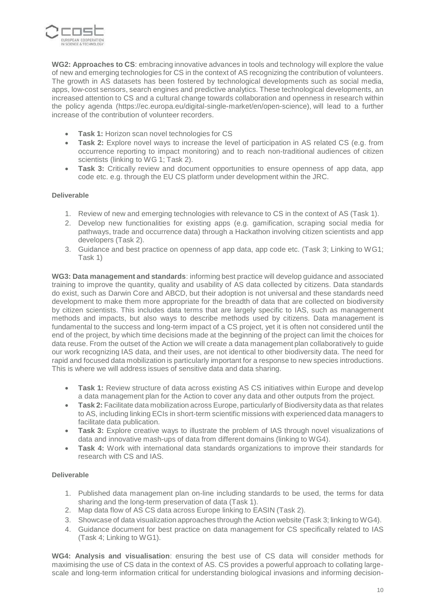

**WG2: Approaches to CS**: embracing innovative advances in tools and technology will explore the value of new and emerging technologies for CS in the context of AS recognizing the contribution of volunteers. The growth in AS datasets has been fostered by technological developments such as social media, apps, low-cost sensors, search engines and predictive analytics. These technological developments, an increased attention to CS and a cultural change towards collaboration and openness in research within the policy agenda (https://ec.europa.eu/digital-single-market/en/open-science), will lead to a further increase of the contribution of volunteer recorders.

- **Task 1:** Horizon scan novel technologies for CS
- **Task 2:** Explore novel ways to increase the level of participation in AS related CS (e.g. from occurrence reporting to impact monitoring) and to reach non-traditional audiences of citizen scientists (linking to WG 1; Task 2).
- **Task 3:** Critically review and document opportunities to ensure openness of app data, app code etc. e.g. through the EU CS platform under development within the JRC.

### **Deliverable**

- 1. Review of new and emerging technologies with relevance to CS in the context of AS (Task 1).
- 2. Develop new functionalities for existing apps (e.g. gamification, scraping social media for pathways, trade and occurrence data) through a Hackathon involving citizen scientists and app developers (Task 2).
- 3. Guidance and best practice on openness of app data, app code etc. (Task 3; Linking to WG1; Task 1)

**WG3: Data management and standards**: informing best practice will develop guidance and associated training to improve the quantity, quality and usability of AS data collected by citizens. Data standards do exist, such as Darwin Core and ABCD, but their adoption is not universal and these standards need development to make them more appropriate for the breadth of data that are collected on biodiversity by citizen scientists. This includes data terms that are largely specific to IAS, such as management methods and impacts, but also ways to describe methods used by citizens. Data management is fundamental to the success and long-term impact of a CS project, yet it is often not considered until the end of the project, by which time decisions made at the beginning of the project can limit the choices for data reuse. From the outset of the Action we will create a data management plan collaboratively to guide our work recognizing IAS data, and their uses, are not identical to other biodiversity data. The need for rapid and focused data mobilization is particularly important for a response to new species introductions. This is where we will address issues of sensitive data and data sharing.

- **Task 1:** Review structure of data across existing AS CS initiatives within Europe and develop a data management plan for the Action to cover any data and other outputs from the project.
- **Task 2:** Facilitate data mobilization across Europe, particularly of Biodiversity data as that relates to AS, including linking ECIs in short-term scientific missions with experienced data managers to facilitate data publication.
- **Task 3:** Explore creative ways to illustrate the problem of IAS through novel visualizations of data and innovative mash-ups of data from different domains (linking to WG4).
- **Task 4:** Work with international data standards organizations to improve their standards for research with CS and IAS.

### **Deliverable**

- 1. Published data management plan on-line including standards to be used, the terms for data sharing and the long-term preservation of data (Task 1).
- 2. Map data flow of AS CS data across Europe linking to EASIN (Task 2).
- 3. Showcase of data visualization approaches through the Action website (Task 3; linking to WG4).
- 4. Guidance document for best practice on data management for CS specifically related to IAS (Task 4; Linking to WG1).

**WG4: Analysis and visualisation**: ensuring the best use of CS data will consider methods for maximising the use of CS data in the context of AS. CS provides a powerful approach to collating largescale and long-term information critical for understanding biological invasions and informing decision-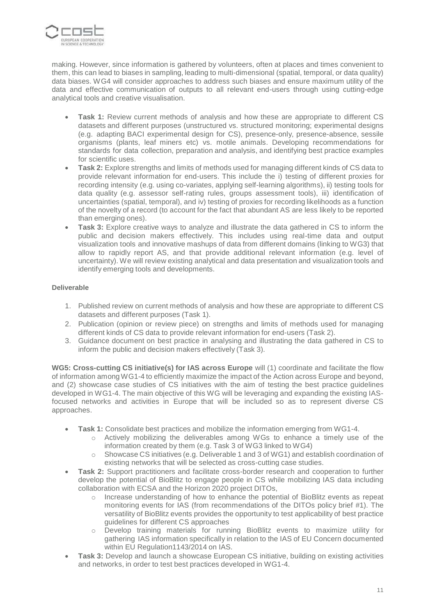

making. However, since information is gathered by volunteers, often at places and times convenient to them, this can lead to biases in sampling, leading to multi-dimensional (spatial, temporal, or data quality) data biases. WG4 will consider approaches to address such biases and ensure maximum utility of the data and effective communication of outputs to all relevant end-users through using cutting-edge analytical tools and creative visualisation.

- **Task 1:** Review current methods of analysis and how these are appropriate to different CS datasets and different purposes (unstructured vs. structured monitoring; experimental designs (e.g. adapting BACI experimental design for CS), presence-only, presence-absence, sessile organisms (plants, leaf miners etc) vs. motile animals. Developing recommendations for standards for data collection, preparation and analysis, and identifying best practice examples for scientific uses.
- **Task 2:** Explore strengths and limits of methods used for managing different kinds of CS data to provide relevant information for end-users. This include the i) testing of different proxies for recording intensity (e.g. using co-variates, applying self-learning algorithms), ii) testing tools for data quality (e.g. assessor self-rating rules, groups assessment tools), iii) identification of uncertainties (spatial, temporal), and iv) testing of proxies for recording likelihoods as a function of the novelty of a record (to account for the fact that abundant AS are less likely to be reported than emerging ones).
- **Task 3:** Explore creative ways to analyze and illustrate the data gathered in CS to inform the public and decision makers effectively. This includes using real-time data and output visualization tools and innovative mashups of data from different domains (linking to WG3) that allow to rapidly report AS, and that provide additional relevant information (e.g. level of uncertainty). We will review existing analytical and data presentation and visualization tools and identify emerging tools and developments.

### **Deliverable**

- 1. Published review on current methods of analysis and how these are appropriate to different CS datasets and different purposes (Task 1).
- 2. Publication (opinion or review piece) on strengths and limits of methods used for managing different kinds of CS data to provide relevant information for end-users (Task 2).
- 3. Guidance document on best practice in analysing and illustrating the data gathered in CS to inform the public and decision makers effectively (Task 3).

**WG5: Cross-cutting CS initiative(s) for IAS across Europe** will (1) coordinate and facilitate the flow of information among WG1-4 to efficiently maximize the impact of the Action across Europe and beyond, and (2) showcase case studies of CS initiatives with the aim of testing the best practice guidelines developed in WG1-4. The main objective of this WG will be leveraging and expanding the existing IASfocused networks and activities in Europe that will be included so as to represent diverse CS approaches.

- **Task 1:** Consolidate best practices and mobilize the information emerging from WG1-4.
	- o Actively mobilizing the deliverables among WGs to enhance a timely use of the information created by them (e.g. Task 3 of WG3 linked to WG4)
	- $\circ$  Showcase CS initiatives (e.g. Deliverable 1 and 3 of WG1) and establish coordination of existing networks that will be selected as cross-cutting case studies.
- **Task 2:** Support practitioners and facilitate cross-border research and cooperation to further develop the potential of BioBlitz to engage people in CS while mobilizing IAS data including collaboration with ECSA and the Horizon 2020 project DITOs,
	- o Increase understanding of how to enhance the potential of BioBlitz events as repeat monitoring events for IAS (from recommendations of the DITOs policy brief #1). The versatility of BioBlitz events provides the opportunity to test applicability of best practice guidelines for different CS approaches
	- o Develop training materials for running BioBlitz events to maximize utility for gathering IAS information specifically in relation to the IAS of EU Concern documented within EU Regulation1143/2014 on IAS.
- **Task 3:** Develop and launch a showcase European CS initiative, building on existing activities and networks, in order to test best practices developed in WG1-4.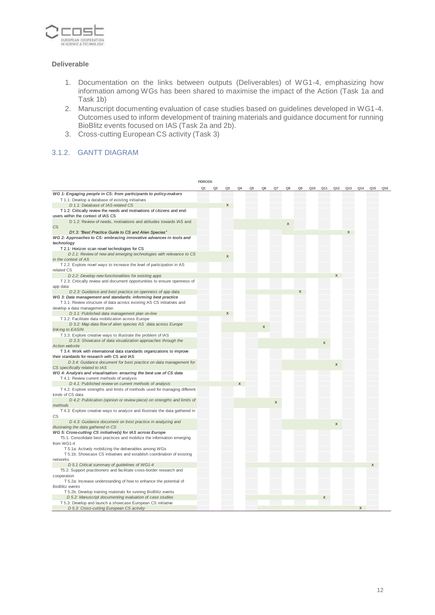

#### **Deliverable**

- 1. Documentation on the links between outputs (Deliverables) of WG1-4, emphasizing how information among WGs has been shared to maximise the impact of the Action (Task 1a and Task 1b)
- 2. Manuscript documenting evaluation of case studies based on guidelines developed in WG1-4. Outcomes used to inform development of training materials and guidance document for running BioBlitz events focused on IAS (Task 2a and 2b).
- 3. Cross-cutting European CS activity (Task 3)

## 3.1.2. GANTT DIAGRAM

|                                                                             | <b>PERIODS</b> |                |    |                |                |                |    |    |                |     |     |              |     |                 |     |     |
|-----------------------------------------------------------------------------|----------------|----------------|----|----------------|----------------|----------------|----|----|----------------|-----|-----|--------------|-----|-----------------|-----|-----|
|                                                                             | Q1             | Q <sub>2</sub> | Q3 | Q <sub>4</sub> | Q <sub>5</sub> | Q <sub>6</sub> | Q7 | Q8 | Q <sub>9</sub> | Q10 | Q11 | Q12          | Q13 | Q <sub>14</sub> | Q15 | Q16 |
| WG 1: Engaging people in CS: from participants to policy-makers             |                |                |    |                |                |                |    |    |                |     |     |              |     |                 |     |     |
| T 1.1: Develop a database of existing initiatives                           |                |                |    |                |                |                |    |    |                |     |     |              |     |                 |     |     |
| D 1.1: Database of IAS-related CS                                           |                |                | X  |                |                |                |    |    |                |     |     |              |     |                 |     |     |
| T 1.2: Critically review the needs and motivations of citizens and end-     |                |                |    |                |                |                |    |    |                |     |     |              |     |                 |     |     |
| users within the context of IAS CS                                          |                |                |    |                |                |                |    |    |                |     |     |              |     |                 |     |     |
| D 1.2: Review of needs, motivations and attitudes towards IAS and           |                |                |    |                |                |                |    |    |                |     |     |              |     |                 |     |     |
| CS                                                                          |                |                |    |                |                |                |    | X  |                |     |     |              |     |                 |     |     |
| D1.3: "Best Practice Guide to CS and Alien Species"                         |                |                |    |                |                |                |    |    |                |     |     |              | X   |                 |     |     |
| WG 2: Approaches to CS: embracing innovative advances in tools and          |                |                |    |                |                |                |    |    |                |     |     |              |     |                 |     |     |
| technology                                                                  |                |                |    |                |                |                |    |    |                |     |     |              |     |                 |     |     |
| T 2.1: Horizon scan novel technologies for CS                               |                |                |    |                |                |                |    |    |                |     |     |              |     |                 |     |     |
| D 2.1: Review of new and emerging technologies with relevance to CS         |                |                |    |                |                |                |    |    |                |     |     |              |     |                 |     |     |
| in the context of AS                                                        |                |                | X  |                |                |                |    |    |                |     |     |              |     |                 |     |     |
| T 2.2: Explore novel ways to increase the level of participation in AS      |                |                |    |                |                |                |    |    |                |     |     |              |     |                 |     |     |
| related CS                                                                  |                |                |    |                |                |                |    |    |                |     |     |              |     |                 |     |     |
| D 2.2: Develop new functionalities for existing apps                        |                |                |    |                |                |                |    |    |                |     |     |              |     |                 |     |     |
| T 2.3: Critically review and document opportunities to ensure openness of   |                |                |    |                |                |                |    |    |                |     |     |              |     |                 |     |     |
| app data                                                                    |                |                |    |                |                |                |    |    |                |     |     |              |     |                 |     |     |
| D 2.3: Guidance and best practice on openness of app data                   |                |                |    |                |                |                |    |    | X              |     |     |              |     |                 |     |     |
| WG 3: Data management and standards: informing best practice                |                |                |    |                |                |                |    |    |                |     |     |              |     |                 |     |     |
| T 3.1: Review structure of data across existing AS CS initiatives and       |                |                |    |                |                |                |    |    |                |     |     |              |     |                 |     |     |
| develop a data management plan                                              |                |                |    |                |                |                |    |    |                |     |     |              |     |                 |     |     |
| D 3.1: Published data management plan on-line                               |                |                | X  |                |                |                |    |    |                |     |     |              |     |                 |     |     |
| T 3.2: Facilitate data mobilization across Europe                           |                |                |    |                |                |                |    |    |                |     |     |              |     |                 |     |     |
| D 3.2: Map data flow of alien species AS data across Europe                 |                |                |    |                |                | X              |    |    |                |     |     |              |     |                 |     |     |
| linking to EASIN                                                            |                |                |    |                |                |                |    |    |                |     |     |              |     |                 |     |     |
| T 3.3: Explore creative ways to illustrate the problem of IAS               |                |                |    |                |                |                |    |    |                |     |     |              |     |                 |     |     |
| D 3.3: Showcase of data visualization approaches through the                |                |                |    |                |                |                |    |    |                |     | X   |              |     |                 |     |     |
| <b>Action website</b>                                                       |                |                |    |                |                |                |    |    |                |     |     |              |     |                 |     |     |
| T 3.4: Work with international data standards organizations to improve      |                |                |    |                |                |                |    |    |                |     |     |              |     |                 |     |     |
| their standards for research with CS and IAS                                |                |                |    |                |                |                |    |    |                |     |     |              |     |                 |     |     |
| D 3.4: Guidance document for best practice on data management for           |                |                |    |                |                |                |    |    |                |     |     | $\pmb{\chi}$ |     |                 |     |     |
| CS specifically related to IAS                                              |                |                |    |                |                |                |    |    |                |     |     |              |     |                 |     |     |
| WG 4: Analysis and visualisation: ensuring the best use of CS data          |                |                |    |                |                |                |    |    |                |     |     |              |     |                 |     |     |
| T 4.1: Review current methods of analysis                                   |                |                |    |                |                |                |    |    |                |     |     |              |     |                 |     |     |
| D 4.1: Published review on current methods of analysis                      |                |                |    |                |                |                |    |    |                |     |     |              |     |                 |     |     |
| T 4.2: Explore strengths and limits of methods used for managing different  |                |                |    |                |                |                |    |    |                |     |     |              |     |                 |     |     |
| kinds of CS data                                                            |                |                |    |                |                |                |    |    |                |     |     |              |     |                 |     |     |
| D 4.2: Publication (opinion or review piece) on strengths and limits of     |                |                |    |                |                |                | X  |    |                |     |     |              |     |                 |     |     |
| methods                                                                     |                |                |    |                |                |                |    |    |                |     |     |              |     |                 |     |     |
| T 4.3: Explore creative ways to analyze and illustrate the data gathered in |                |                |    |                |                |                |    |    |                |     |     |              |     |                 |     |     |
| CS                                                                          |                |                |    |                |                |                |    |    |                |     |     |              |     |                 |     |     |
| D 4.3: Guidance document on best practice in analyzing and                  |                |                |    |                |                |                |    |    |                |     |     | X            |     |                 |     |     |
| illustrating the data gathered in CS                                        |                |                |    |                |                |                |    |    |                |     |     |              |     |                 |     |     |
| WG 5: Cross-cutting CS initiative(s) for IAS across Europe                  |                |                |    |                |                |                |    |    |                |     |     |              |     |                 |     |     |
| T5.1: Consolidate best practices and mobilize the information emerging      |                |                |    |                |                |                |    |    |                |     |     |              |     |                 |     |     |
| from WG1-4                                                                  |                |                |    |                |                |                |    |    |                |     |     |              |     |                 |     |     |
| T 5.1a: Actively mobilizing the deliverables among WGs                      |                |                |    |                |                |                |    |    |                |     |     |              |     |                 |     |     |
| T 5.1b: Showcase CS initiatives and establish coordination of existing      |                |                |    |                |                |                |    |    |                |     |     |              |     |                 |     |     |
| networks                                                                    |                |                |    |                |                |                |    |    |                |     |     |              |     |                 | X   |     |
| D 5.1 Critical summary of guidelines of WG1-4                               |                |                |    |                |                |                |    |    |                |     |     |              |     |                 |     |     |
| T5.2: Support practitioners and facilitate cross-border research and        |                |                |    |                |                |                |    |    |                |     |     |              |     |                 |     |     |
| cooperation                                                                 |                |                |    |                |                |                |    |    |                |     |     |              |     |                 |     |     |
| T 5.2a: Increase understanding of how to enhance the potential of           |                |                |    |                |                |                |    |    |                |     |     |              |     |                 |     |     |
| <b>BioBlitz</b> events                                                      |                |                |    |                |                |                |    |    |                |     |     |              |     |                 |     |     |
| T 5.2b: Develop training materials for running BioBlitz events              |                |                |    |                |                |                |    |    |                |     |     |              |     |                 |     |     |
| D 5.2: Manuscript documenting evaluation of case studies                    |                |                |    |                |                |                |    |    |                |     | X   |              |     |                 |     |     |
| T 5.3: Develop and launch a showcase European CS initiative                 |                |                |    |                |                |                |    |    |                |     |     |              |     |                 |     |     |
| D 5.3: Cross-cutting European CS activity                                   |                |                |    |                |                |                |    |    |                |     |     |              |     |                 |     |     |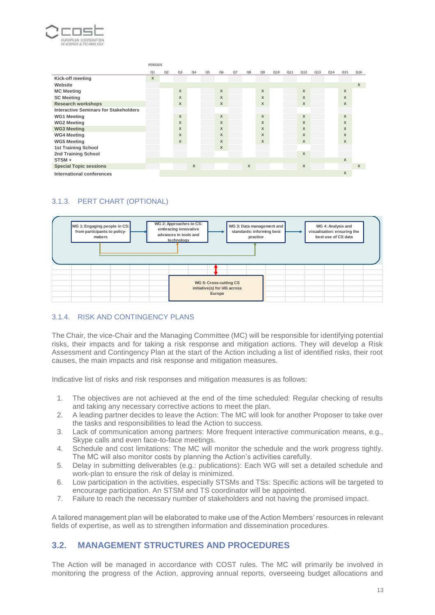

|                                              | <b>PERIODS</b> |    |              |    |    |                |       |    |                |     |     |                           |     |     |              |              |
|----------------------------------------------|----------------|----|--------------|----|----|----------------|-------|----|----------------|-----|-----|---------------------------|-----|-----|--------------|--------------|
|                                              | Q1             | Q2 | Q3           | Q4 | Q5 | Q <sub>6</sub> | $Q$ 7 | Q8 | Q <sub>9</sub> | Q10 | Q11 | Q12                       | Q13 | Q14 | Q15          | Q16          |
| Kick-off meeting                             | X              |    |              |    |    |                |       |    |                |     |     |                           |     |     |              |              |
| Website                                      |                |    |              |    |    |                |       |    |                |     |     |                           |     |     |              | $\mathsf X$  |
| <b>MC Meeting</b>                            |                |    | X            |    |    | X              |       |    | X              |     |     | $\mathsf{x}$              |     |     | X            |              |
| <b>SC Meeting</b>                            |                |    | X            |    |    | X              |       |    | $\mathsf{x}$   |     |     | $\mathsf{x}$              |     |     | $\mathsf{X}$ |              |
| <b>Research workshops</b>                    |                |    | X            |    |    | X              |       |    | X              |     |     | $\boldsymbol{\mathsf{x}}$ |     |     | X            |              |
| <b>Interactive Seminars for Stakeholders</b> |                |    |              |    |    |                |       |    |                |     |     |                           |     |     |              |              |
| <b>WG1 Meeting</b>                           |                |    | $\mathsf{x}$ |    |    | X              |       |    | $\mathsf{X}$   |     |     | $\mathsf{x}$              |     |     | $\mathsf{X}$ |              |
| <b>WG2 Meeting</b>                           |                |    | X            |    |    | X              |       |    | X              |     |     | X                         |     |     | X            |              |
| <b>WG3 Meeting</b>                           |                |    | X            |    |    | X              |       |    | $\mathsf{x}$   |     |     | $\mathsf{x}$              |     |     | X            |              |
| <b>WG4 Meeting</b>                           |                |    | X            |    |    | X              |       |    | $\mathsf{x}$   |     |     | $\mathsf{x}$              |     |     | X            |              |
| <b>WG5 Meeting</b>                           |                |    | X            |    |    | X              |       |    | X              |     |     | X                         |     |     | X            |              |
| <b>1st Training School</b>                   |                |    |              |    |    | X              |       |    |                |     |     |                           |     |     |              |              |
| 2nd Training School                          |                |    |              |    |    |                |       |    |                |     |     | $\mathsf{X}$              |     |     |              |              |
| $STSM +$                                     |                |    |              |    |    |                |       |    |                |     |     |                           |     |     | $\mathsf{X}$ |              |
| <b>Special Topic sessions</b>                |                |    |              | X  |    |                |       | X  |                |     |     | X                         |     |     |              | $\mathsf{x}$ |
| International conferences                    |                |    |              |    |    |                |       |    |                |     |     |                           |     |     | X            |              |

# 3.1.3. PERT CHART (OPTIONAL)



## 3.1.4. RISK AND CONTINGENCY PLANS

The Chair, the vice-Chair and the Managing Committee (MC) will be responsible for identifying potential risks, their impacts and for taking a risk response and mitigation actions. They will develop a Risk Assessment and Contingency Plan at the start of the Action including a list of identified risks, their root causes, the main impacts and risk response and mitigation measures.

Indicative list of risks and risk responses and mitigation measures is as follows:

- 1. The objectives are not achieved at the end of the time scheduled: Regular checking of results and taking any necessary corrective actions to meet the plan.
- 2. A leading partner decides to leave the Action: The MC will look for another Proposer to take over the tasks and responsibilities to lead the Action to success.
- 3. Lack of communication among partners: More frequent interactive communication means, e.g., Skype calls and even face-to-face meetings.
- 4. Schedule and cost limitations: The MC will monitor the schedule and the work progress tightly. The MC will also monitor costs by planning the Action's activities carefully.
- 5. Delay in submitting deliverables (e.g.: publications): Each WG will set a detailed schedule and work-plan to ensure the risk of delay is minimized.
- 6. Low participation in the activities, especially STSMs and TSs: Specific actions will be targeted to encourage participation. An STSM and TS coordinator will be appointed.
- 7. Failure to reach the necessary number of stakeholders and not having the promised impact.

A tailored management plan will be elaborated to make use of the Action Members' resources in relevant fields of expertise, as well as to strengthen information and dissemination procedures.

# **3.2. MANAGEMENT STRUCTURES AND PROCEDURES**

The Action will be managed in accordance with COST rules. The MC will primarily be involved in monitoring the progress of the Action, approving annual reports, overseeing budget allocations and